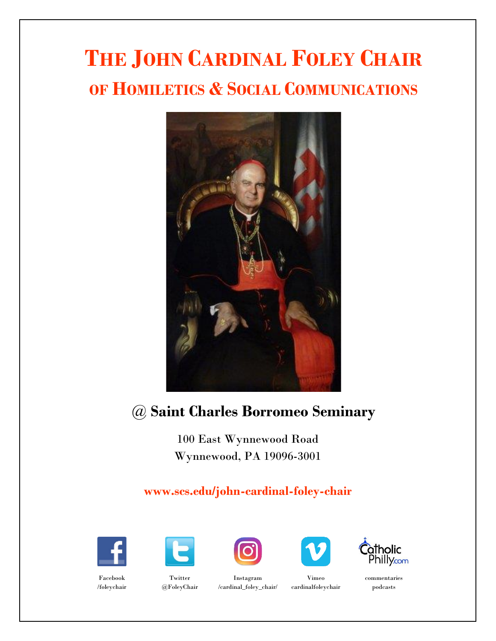# **THE JOHN CARDINAL FOLEY CHAIR OF HOMILETICS & SOCIAL COMMUNICATIONS**



## @ **Saint Charles Borromeo Seminary**

100 East Wynnewood Road Wynnewood, PA 19096-3001

### **www.scs.edu/john-cardinal-foley-chair**















commentaries podcasts

Facebook /foleychair

Twitter @FoleyChair

Instagram /cardinal\_foley\_chair/

cardinalfoleychair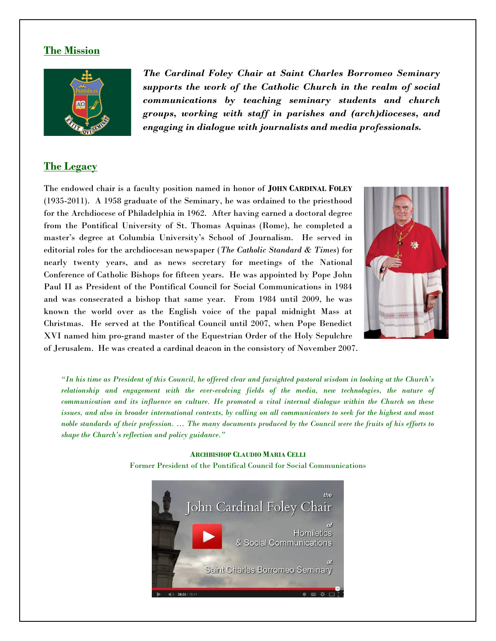#### **The Mission**



*The Cardinal Foley Chair at Saint Charles Borromeo Seminary supports the work of the Catholic Church in the realm of social communications by teaching seminary students and church groups, working with staff in parishes and (arch)dioceses, and engaging in dialogue with journalists and media professionals.*

#### **The Legacy**

The endowed chair is a faculty position named in honor of **JOHN CARDINAL FOLEY** (1935-2011). A 1958 graduate of the Seminary, he was ordained to the priesthood for the Archdiocese of Philadelphia in 1962. After having earned a doctoral degree from the Pontifical University of St. Thomas Aquinas (Rome), he completed a master's degree at Columbia University's School of Journalism. He served in editorial roles for the archdiocesan newspaper (*The Catholic Standard & Times*) for nearly twenty years, and as news secretary for meetings of the National Conference of Catholic Bishops for fifteen years. He was appointed by Pope John Paul II as President of the Pontifical Council for Social Communications in 1984 and was consecrated a bishop that same year. From 1984 until 2009, he was known the world over as the English voice of the papal midnight Mass at Christmas. He served at the Pontifical Council until 2007, when Pope Benedict XVI named him pro-grand master of the Equestrian Order of the Holy Sepulchre of Jerusalem. He was created a cardinal deacon in the consistory of November 2007.



*"In his time as President of this Council, he offered clear and farsighted pastoral wisdom in looking at the Church's relationship and engagement with the ever-evolving fields of the media, new technologies, the nature of communication and its influence on culture. He promoted a vital internal dialogue within the Church on these issues, and also in broader international contexts, by calling on all communicators to seek for the highest and most noble standards of their profession. … The many documents produced by the Council were the fruits of his efforts to shape the Church's reflection and policy guidance."*

> **ARCHBISHOP CLAUDIO MARIA CELLI** Former President of the Pontifical Council for Social Communications

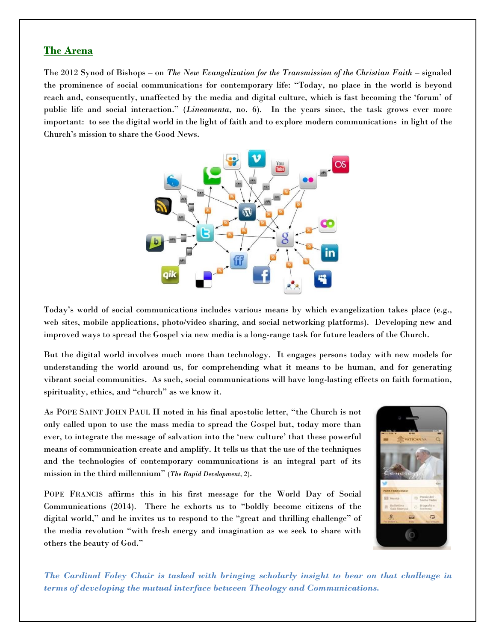#### **The Arena**

The 2012 Synod of Bishops – on *The New Evangelization for the Transmission of the Christian Faith* – signaled the prominence of social communications for contemporary life: "Today, no place in the world is beyond reach and, consequently, unaffected by the media and digital culture, which is fast becoming the 'forum' of public life and social interaction." (*Lineamenta*, no. 6). In the years since, the task grows ever more important: to see the digital world in the light of faith and to explore modern communications in light of the Church's mission to share the Good News.



Today's world of social communications includes various means by which evangelization takes place (e.g., web sites, mobile applications, photo/video sharing, and social networking platforms). Developing new and improved ways to spread the Gospel via new media is a long-range task for future leaders of the Church.

But the digital world involves much more than technology. It engages persons today with new models for understanding the world around us, for comprehending what it means to be human, and for generating vibrant social communities. As such, social communications will have long-lasting effects on faith formation, spirituality, ethics, and "church" as we know it.

As POPE SAINT JOHN PAUL II noted in his final apostolic letter, "the Church is not only called upon to use the mass media to spread the Gospel but, today more than ever, to integrate the message of salvation into the 'new culture' that these powerful means of communication create and amplify. It tells us that the use of the techniques and the technologies of contemporary communications is an integral part of its mission in the third millennium" (*The Rapid Development*, 2).

POPE FRANCIS affirms this in his first message for the World Day of Social Communications (2014). There he exhorts us to "boldly become citizens of the digital world," and he invites us to respond to the "great and thrilling challenge" of the media revolution "with fresh energy and imagination as we seek to share with others the beauty of God."



*The Cardinal Foley Chair is tasked with bringing scholarly insight to bear on that challenge in terms of developing the mutual interface between Theology and Communications.*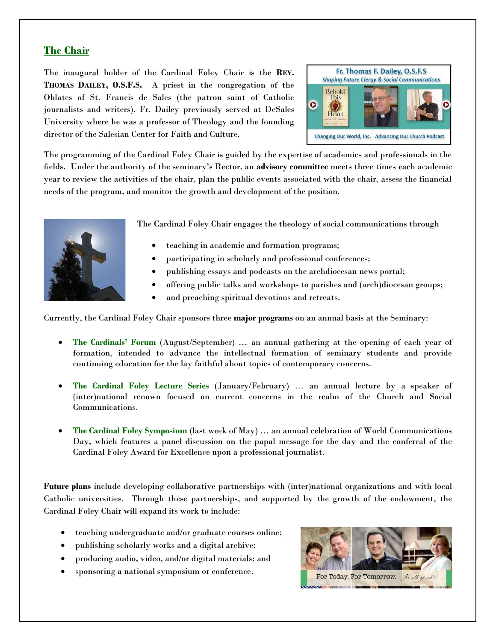#### **The Chair**

The inaugural holder of the Cardinal Foley Chair is the **REV. THOMAS DAILEY, O.S.F.S.** A priest in the congregation of the Oblates of St. Francis de Sales (the patron saint of Catholic journalists and writers), Fr. Dailey previously served at DeSales University where he was a professor of Theology and the founding director of the Salesian Center for Faith and Culture.



The programming of the Cardinal Foley Chair is guided by the expertise of academics and professionals in the fields. Under the authority of the seminary's Rector, an **advisory committee** meets three times each academic year to review the activities of the chair, plan the public events associated with the chair, assess the financial needs of the program, and monitor the growth and development of the position.



The Cardinal Foley Chair engages the theology of social communications through

- teaching in academic and formation programs;
- participating in scholarly and professional conferences;
- publishing essays and podcasts on the archdiocesan news portal;
- offering public talks and workshops to parishes and (arch)diocesan groups;
- and preaching spiritual devotions and retreats.

Currently, the Cardinal Foley Chair sponsors three **major programs** on an annual basis at the Seminary:

- **The Cardinals' Forum** (August/September) … an annual gathering at the opening of each year of formation, intended to advance the intellectual formation of seminary students and provide continuing education for the lay faithful about topics of contemporary concerns.
- **The Cardinal Foley Lecture Series** (January/February) … an annual lecture by a speaker of (inter)national renown focused on current concerns in the realm of the Church and Social Communications.
- **The Cardinal Foley Symposium** (last week of May) … an annual celebration of World Communications Day, which features a panel discussion on the papal message for the day and the conferral of the Cardinal Foley Award for Excellence upon a professional journalist.

**Future plans** include developing collaborative partnerships with (inter)national organizations and with local Catholic universities. Through these partnerships, and supported by the growth of the endowment, the Cardinal Foley Chair will expand its work to include:

- teaching undergraduate and/or graduate courses online;
- publishing scholarly works and a digital archive;
- producing audio, video, and/or digital materials; and
- sponsoring a national symposium or conference.